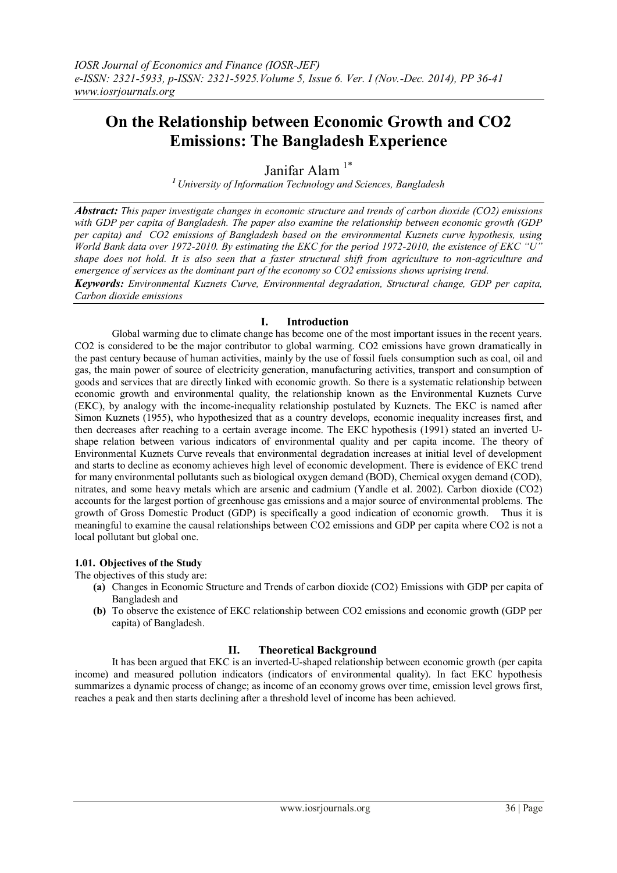# **On the Relationship between Economic Growth and CO2 Emissions: The Bangladesh Experience**

Janifar Alam<sup>1\*</sup>

*<sup>1</sup>University of Information Technology and Sciences, Bangladesh*

*Abstract: This paper investigate changes in economic structure and trends of carbon dioxide (CO2) emissions with GDP per capita of Bangladesh. The paper also examine the relationship between economic growth (GDP per capita) and CO2 emissions of Bangladesh based on the environmental Kuznets curve hypothesis, using World Bank data over 1972-2010. By estimating the EKC for the period 1972-2010, the existence of EKC "U" shape does not hold. It is also seen that a faster structural shift from agriculture to non-agriculture and emergence of services as the dominant part of the economy so CO2 emissions shows uprising trend.*

*Keywords: Environmental Kuznets Curve, Environmental degradation, Structural change, GDP per capita, Carbon dioxide emissions*

### **I. Introduction**

Global warming due to climate change has become one of the most important issues in the recent years. CO2 is considered to be the major contributor to global warming. CO2 emissions have grown dramatically in the past century because of human activities, mainly by the use of fossil fuels consumption such as coal, oil and gas, the main power of source of electricity generation, manufacturing activities, transport and consumption of goods and services that are directly linked with economic growth. So there is a systematic relationship between economic growth and environmental quality, the relationship known as the Environmental Kuznets Curve (EKC), by analogy with the income-inequality relationship postulated by Kuznets. The EKC is named after Simon Kuznets (1955), who hypothesized that as a country develops, economic inequality increases first, and then decreases after reaching to a certain average income. The EKC hypothesis (1991) stated an inverted Ushape relation between various indicators of environmental quality and per capita income. The theory of Environmental Kuznets Curve reveals that environmental degradation increases at initial level of development and starts to decline as economy achieves high level of economic development. There is evidence of EKC trend for many environmental pollutants such as biological oxygen demand (BOD), Chemical oxygen demand (COD), nitrates, and some heavy metals which are arsenic and cadmium (Yandle et al. 2002). Carbon dioxide (CO2) accounts for the largest portion of greenhouse gas emissions and a major source of environmental problems. The growth of Gross Domestic Product (GDP) is specifically a good indication of economic growth. Thus it is meaningful to examine the causal relationships between CO2 emissions and GDP per capita where CO2 is not a local pollutant but global one.

#### **1.01. Objectives of the Study**

The objectives of this study are:

- **(a)** Changes in Economic Structure and Trends of carbon dioxide (CO2) Emissions with GDP per capita of Bangladesh and
- **(b)** To observe the existence of EKC relationship between CO2 emissions and economic growth (GDP per capita) of Bangladesh.

### **II. Theoretical Background**

It has been argued that EKC is an inverted-U-shaped relationship between economic growth (per capita income) and measured pollution indicators (indicators of environmental quality). In fact EKC hypothesis summarizes a dynamic process of change; as income of an economy grows over time, emission level grows first, reaches a peak and then starts declining after a threshold level of income has been achieved.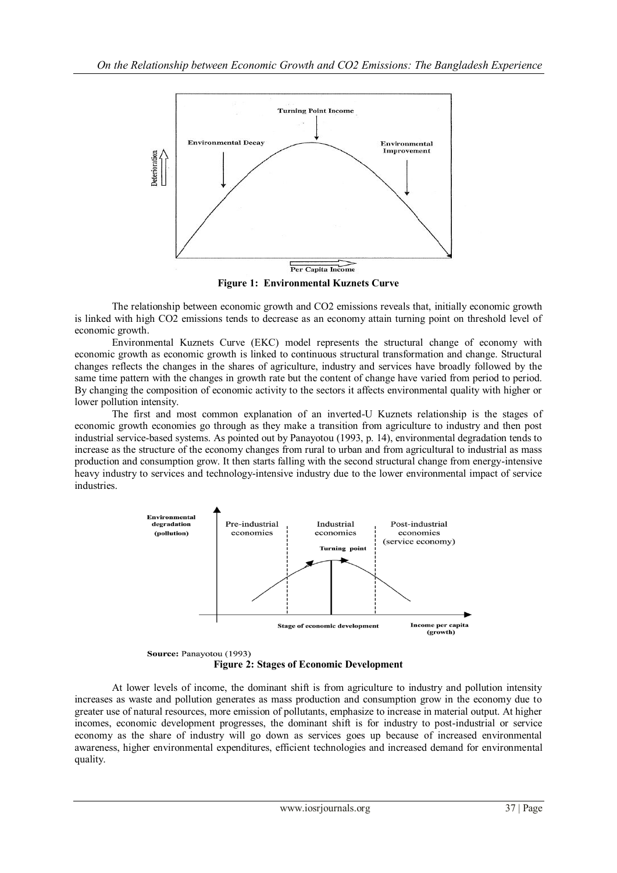

**Figure 1: Environmental Kuznets Curve**

The relationship between economic growth and CO2 emissions reveals that, initially economic growth is linked with high CO2 emissions tends to decrease as an economy attain turning point on threshold level of economic growth.

Environmental Kuznets Curve (EKC) model represents the structural change of economy with economic growth as economic growth is linked to continuous structural transformation and change. Structural changes reflects the changes in the shares of agriculture, industry and services have broadly followed by the same time pattern with the changes in growth rate but the content of change have varied from period to period. By changing the composition of economic activity to the sectors it affects environmental quality with higher or lower pollution intensity.

The first and most common explanation of an inverted-U Kuznets relationship is the stages of economic growth economies go through as they make a transition from agriculture to industry and then post industrial service-based systems. As pointed out by Panayotou (1993, p. 14), environmental degradation tends to increase as the structure of the economy changes from rural to urban and from agricultural to industrial as mass production and consumption grow. It then starts falling with the second structural change from energy-intensive heavy industry to services and technology-intensive industry due to the lower environmental impact of service industries.



Source: Panayotou (1993) **Figure 2: Stages of Economic Development**

At lower levels of income, the dominant shift is from agriculture to industry and pollution intensity increases as waste and pollution generates as mass production and consumption grow in the economy due to greater use of natural resources, more emission of pollutants, emphasize to increase in material output. At higher incomes, economic development progresses, the dominant shift is for industry to post-industrial or service economy as the share of industry will go down as services goes up because of increased environmental awareness, higher environmental expenditures, efficient technologies and increased demand for environmental quality.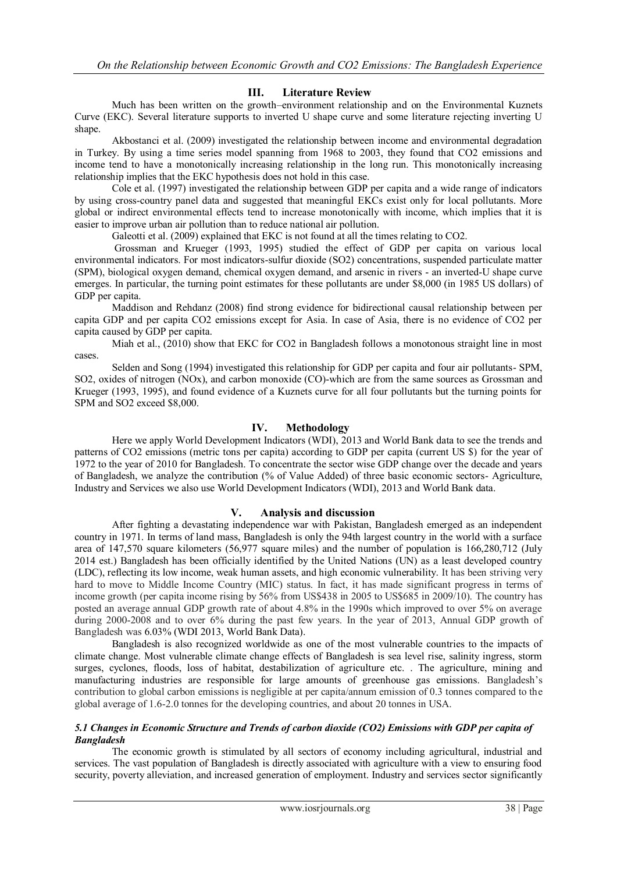# **III. Literature Review**

Much has been written on the growth–environment relationship and on the Environmental Kuznets Curve (EKC). Several literature supports to inverted U shape curve and some literature rejecting inverting U shape.

Akbostanci et al. (2009) investigated the relationship between income and environmental degradation in Turkey. By using a time series model spanning from 1968 to 2003, they found that CO2 emissions and income tend to have a monotonically increasing relationship in the long run. This monotonically increasing relationship implies that the EKC hypothesis does not hold in this case.

Cole et al. (1997) investigated the relationship between GDP per capita and a wide range of indicators by using cross-country panel data and suggested that meaningful EKCs exist only for local pollutants. More global or indirect environmental effects tend to increase monotonically with income, which implies that it is easier to improve urban air pollution than to reduce national air pollution.

Galeotti et al. (2009) explained that EKC is not found at all the times relating to CO2.

Grossman and Krueger (1993, 1995) studied the effect of GDP per capita on various local environmental indicators. For most indicators-sulfur dioxide (SO2) concentrations, suspended particulate matter (SPM), biological oxygen demand, chemical oxygen demand, and arsenic in rivers - an inverted-U shape curve emerges. In particular, the turning point estimates for these pollutants are under \$8,000 (in 1985 US dollars) of GDP per capita.

Maddison and Rehdanz (2008) find strong evidence for bidirectional causal relationship between per capita GDP and per capita CO2 emissions except for Asia. In case of Asia, there is no evidence of CO2 per capita caused by GDP per capita.

Miah et al., (2010) show that EKC for CO2 in Bangladesh follows a monotonous straight line in most cases.

Selden and Song (1994) investigated this relationship for GDP per capita and four air pollutants- SPM, SO2, oxides of nitrogen (NOx), and carbon monoxide (CO)-which are from the same sources as Grossman and Krueger (1993, 1995), and found evidence of a Kuznets curve for all four pollutants but the turning points for SPM and SO2 exceed \$8,000.

## **IV. Methodology**

Here we apply World Development Indicators (WDI), 2013 and World Bank data to see the trends and patterns of CO2 emissions (metric tons per capita) according to GDP per capita (current US \$) for the year of 1972 to the year of 2010 for Bangladesh. To concentrate the sector wise GDP change over the decade and years of Bangladesh, we analyze the contribution (% of Value Added) of three basic economic sectors- Agriculture, Industry and Services we also use World Development Indicators (WDI), 2013 and World Bank data.

### **V. Analysis and discussion**

After fighting a devastating independence war with Pakistan, Bangladesh emerged as an independent country in 1971. In terms of land mass, Bangladesh is only the 94th largest country in the world with a surface area of 147,570 square kilometers (56,977 square miles) and the number of population is 166,280,712 (July 2014 est.) Bangladesh has been officially identified by the United Nations (UN) as a least developed country (LDC), reflecting its low income, weak human assets, and high economic vulnerability. It has been striving very hard to move to Middle Income Country (MIC) status. In fact, it has made significant progress in terms of income growth (per capita income rising by 56% from US\$438 in 2005 to US\$685 in 2009/10). The country has posted an average annual GDP growth rate of about 4.8% in the 1990s which improved to over 5% on average during 2000-2008 and to over 6% during the past few years. In the year of 2013, Annual GDP growth of Bangladesh was 6.03% (WDI 2013, World Bank Data).

Bangladesh is also recognized worldwide as one of the most vulnerable countries to the impacts of climate change. Most vulnerable climate change effects of Bangladesh is sea level rise, salinity ingress, storm surges, cyclones, floods, loss of habitat, destabilization of agriculture etc. . The agriculture, mining and manufacturing industries are responsible for large amounts of greenhouse gas emissions. Bangladesh's contribution to global carbon emissions is negligible at per capita/annum emission of 0.3 tonnes compared to the global average of 1.6-2.0 tonnes for the developing countries, and about 20 tonnes in USA.

#### *5.1 Changes in Economic Structure and Trends of carbon dioxide (CO2) Emissions with GDP per capita of Bangladesh*

The economic growth is stimulated by all sectors of economy including agricultural, industrial and services. The vast population of Bangladesh is directly associated with agriculture with a view to ensuring food security, poverty alleviation, and increased generation of employment. Industry and services sector significantly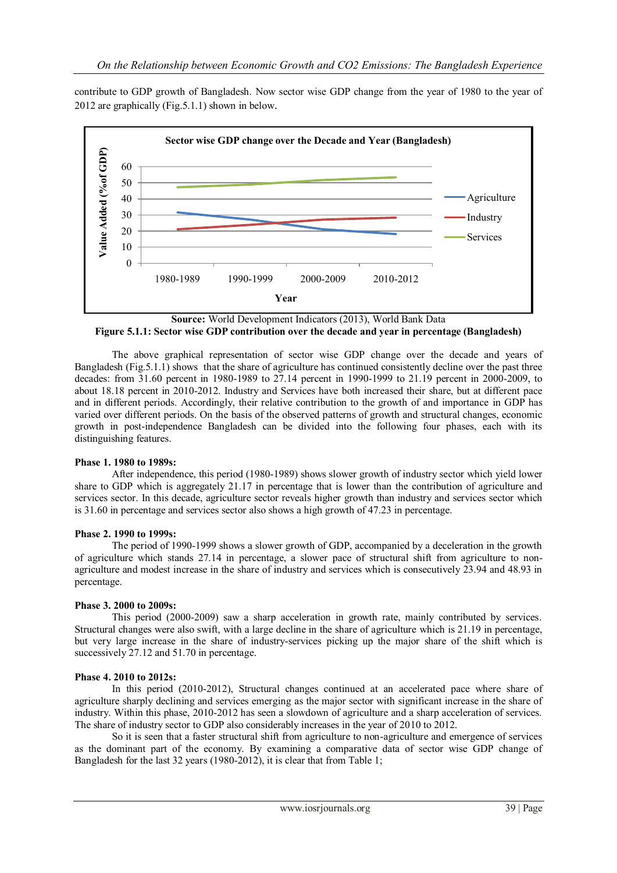contribute to GDP growth of Bangladesh. Now sector wise GDP change from the year of 1980 to the year of 2012 are graphically (Fig.5.1.1) shown in below.



**Source:** World Development Indicators (2013), World Bank Data **Figure 5.1.1: Sector wise GDP contribution over the decade and year in percentage (Bangladesh)**

The above graphical representation of sector wise GDP change over the decade and years of Bangladesh (Fig.5.1.1) shows that the share of agriculture has continued consistently decline over the past three decades: from 31.60 percent in 1980-1989 to 27.14 percent in 1990-1999 to 21.19 percent in 2000-2009, to about 18.18 percent in 2010-2012. Industry and Services have both increased their share, but at different pace and in different periods. Accordingly, their relative contribution to the growth of and importance in GDP has varied over different periods. On the basis of the observed patterns of growth and structural changes, economic growth in post-independence Bangladesh can be divided into the following four phases, each with its distinguishing features.

### **Phase 1. 1980 to 1989s:**

After independence, this period (1980-1989) shows slower growth of industry sector which yield lower share to GDP which is aggregately 21.17 in percentage that is lower than the contribution of agriculture and services sector. In this decade, agriculture sector reveals higher growth than industry and services sector which is 31.60 in percentage and services sector also shows a high growth of 47.23 in percentage.

### **Phase 2. 1990 to 1999s:**

The period of 1990-1999 shows a slower growth of GDP, accompanied by a deceleration in the growth of agriculture which stands 27.14 in percentage, a slower pace of structural shift from agriculture to nonagriculture and modest increase in the share of industry and services which is consecutively 23.94 and 48.93 in percentage.

### **Phase 3. 2000 to 2009s:**

This period (2000-2009) saw a sharp acceleration in growth rate, mainly contributed by services. Structural changes were also swift, with a large decline in the share of agriculture which is 21.19 in percentage, but very large increase in the share of industry-services picking up the major share of the shift which is successively 27.12 and 51.70 in percentage.

### **Phase 4. 2010 to 2012s:**

In this period (2010-2012), Structural changes continued at an accelerated pace where share of agriculture sharply declining and services emerging as the major sector with significant increase in the share of industry. Within this phase, 2010-2012 has seen a slowdown of agriculture and a sharp acceleration of services. The share of industry sector to GDP also considerably increases in the year of 2010 to 2012.

So it is seen that a faster structural shift from agriculture to non-agriculture and emergence of services as the dominant part of the economy. By examining a comparative data of sector wise GDP change of Bangladesh for the last 32 years (1980-2012), it is clear that from Table 1;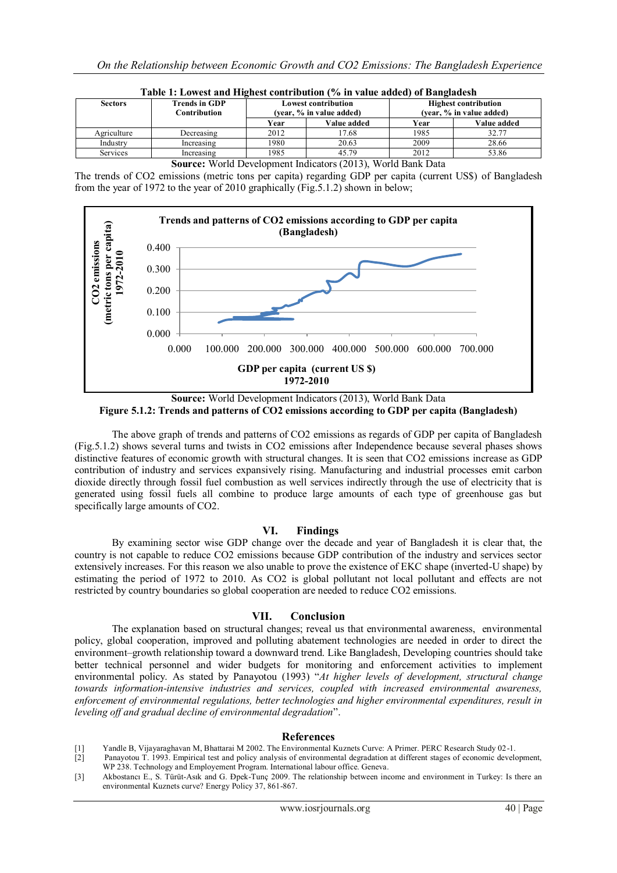| <b>Sectors</b> | <b>Trends in GDP</b><br>Contribution | <b>Lowest contribution</b><br>(vear, % in value added) |             | <b>Highest contribution</b><br>(vear, % in value added) |             |
|----------------|--------------------------------------|--------------------------------------------------------|-------------|---------------------------------------------------------|-------------|
|                |                                      | Year                                                   | Value added | Year                                                    | Value added |
| Agriculture    | Decreasing                           | 2012                                                   | 17.68       | 1985                                                    | 32.77       |
| Industry       | Increasing                           | 1980                                                   | 20.63       | 2009                                                    | 28.66       |
| Services       | Increasing                           | 1985                                                   | 45.79       | 2012                                                    | 53.86       |

| Table 1: Lowest and Highest contribution (% in value added) of Bangladesh |  |
|---------------------------------------------------------------------------|--|
|                                                                           |  |

**Source:** World Development Indicators (2013), World Bank Data

The trends of CO2 emissions (metric tons per capita) regarding GDP per capita (current US\$) of Bangladesh from the year of 1972 to the year of 2010 graphically (Fig.5.1.2) shown in below;



**Source:** World Development Indicators (2013), World Bank Data **Figure 5.1.2: Trends and patterns of CO2 emissions according to GDP per capita (Bangladesh)**

The above graph of trends and patterns of CO2 emissions as regards of GDP per capita of Bangladesh (Fig.5.1.2) shows several turns and twists in CO2 emissions after Independence because several phases shows distinctive features of economic growth with structural changes. It is seen that CO2 emissions increase as GDP contribution of industry and services expansively rising. Manufacturing and industrial processes emit carbon dioxide directly through fossil fuel combustion as well services indirectly through the use of electricity that is generated using fossil fuels all combine to produce large amounts of each type of greenhouse gas but specifically large amounts of CO2.

### **VI. Findings**

By examining sector wise GDP change over the decade and year of Bangladesh it is clear that, the country is not capable to reduce CO2 emissions because GDP contribution of the industry and services sector extensively increases. For this reason we also unable to prove the existence of EKC shape (inverted-U shape) by estimating the period of 1972 to 2010. As CO2 is global pollutant not local pollutant and effects are not restricted by country boundaries so global cooperation are needed to reduce CO2 emissions.

### **VII. Conclusion**

The explanation based on structural changes; reveal us that environmental awareness, environmental policy, global cooperation, improved and polluting abatement technologies are needed in order to direct the environment–growth relationship toward a downward trend. Like Bangladesh, Developing countries should take better technical personnel and wider budgets for monitoring and enforcement activities to implement environmental policy. As stated by Panayotou (1993) "*At higher levels of development, structural change towards information-intensive industries and services, coupled with increased environmental awareness, enforcement of environmental regulations, better technologies and higher environmental expenditures, result in leveling off and gradual decline of environmental degradation*".

### **References**

- [1] Yandle B, Vijayaraghavan M, Bhattarai M 2002. The Environmental Kuznets Curve: A Primer. PERC Research Study 02-1.
- [2] Panayotou T. 1993. Empirical test and policy analysis of environmental degradation at different stages of economic development, WP 238. Technology and Employement Program. International labour office. Geneva.
- [3] Akbostancı E., S. Türüt-Asık and G. Đpek-Tunç 2009. The relationship between income and environment in Turkey: Is there an environmental Kuznets curve? Energy Policy 37, 861-867.